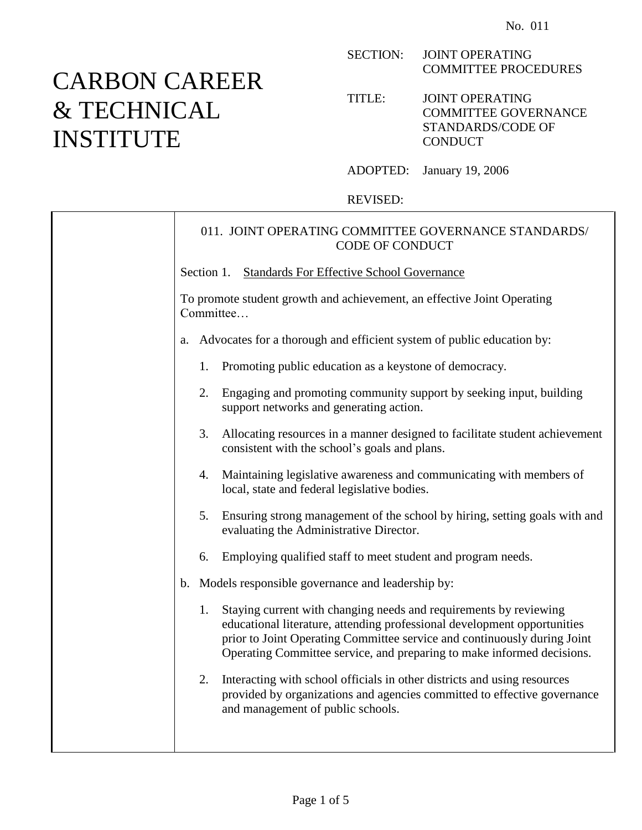## CARBON CAREER & TECHNICAL INSTITUTE

SECTION: JOINT OPERATING COMMITTEE PROCEDURES

TITLE: JOINT OPERATING COMMITTEE GOVERNANCE STANDARDS/CODE OF **CONDUCT** 

ADOPTED: January 19, 2006

REVISED:

## 011. JOINT OPERATING COMMITTEE GOVERNANCE STANDARDS/ CODE OF CONDUCT Section 1. Standards For Effective School Governance To promote student growth and achievement, an effective Joint Operating **Committee** a. Advocates for a thorough and efficient system of public education by: 1. Promoting public education as a keystone of democracy. 2. Engaging and promoting community support by seeking input, building support networks and generating action. 3. Allocating resources in a manner designed to facilitate student achievement consistent with the school's goals and plans. 4. Maintaining legislative awareness and communicating with members of local, state and federal legislative bodies. 5. Ensuring strong management of the school by hiring, setting goals with and evaluating the Administrative Director. 6. Employing qualified staff to meet student and program needs. b. Models responsible governance and leadership by: 1. Staying current with changing needs and requirements by reviewing educational literature, attending professional development opportunities prior to Joint Operating Committee service and continuously during Joint Operating Committee service, and preparing to make informed decisions. 2. Interacting with school officials in other districts and using resources provided by organizations and agencies committed to effective governance and management of public schools.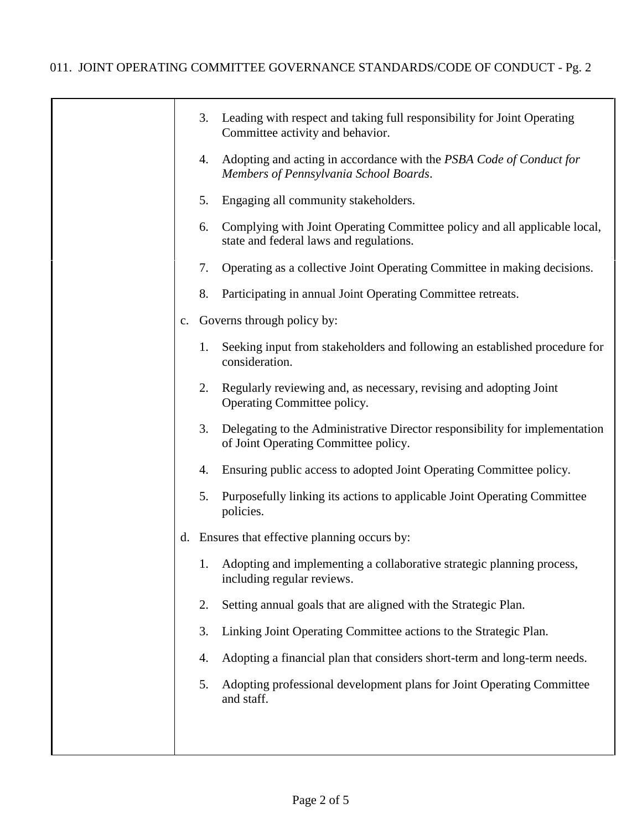|                | 3. | Leading with respect and taking full responsibility for Joint Operating<br>Committee activity and behavior.          |
|----------------|----|----------------------------------------------------------------------------------------------------------------------|
|                | 4. | Adopting and acting in accordance with the PSBA Code of Conduct for<br>Members of Pennsylvania School Boards.        |
|                | 5. | Engaging all community stakeholders.                                                                                 |
|                | 6. | Complying with Joint Operating Committee policy and all applicable local,<br>state and federal laws and regulations. |
|                | 7. | Operating as a collective Joint Operating Committee in making decisions.                                             |
|                | 8. | Participating in annual Joint Operating Committee retreats.                                                          |
| $\mathbf{c}$ . |    | Governs through policy by:                                                                                           |
|                | 1. | Seeking input from stakeholders and following an established procedure for<br>consideration.                         |
|                | 2. | Regularly reviewing and, as necessary, revising and adopting Joint<br>Operating Committee policy.                    |
|                | 3. | Delegating to the Administrative Director responsibility for implementation<br>of Joint Operating Committee policy.  |
|                | 4. | Ensuring public access to adopted Joint Operating Committee policy.                                                  |
|                | 5. | Purposefully linking its actions to applicable Joint Operating Committee<br>policies.                                |
|                |    | d. Ensures that effective planning occurs by:                                                                        |
|                | 1. | Adopting and implementing a collaborative strategic planning process,<br>including regular reviews.                  |
|                | 2. | Setting annual goals that are aligned with the Strategic Plan.                                                       |
|                | 3. | Linking Joint Operating Committee actions to the Strategic Plan.                                                     |
|                | 4. | Adopting a financial plan that considers short-term and long-term needs.                                             |
|                | 5. | Adopting professional development plans for Joint Operating Committee<br>and staff.                                  |
|                |    |                                                                                                                      |
|                |    |                                                                                                                      |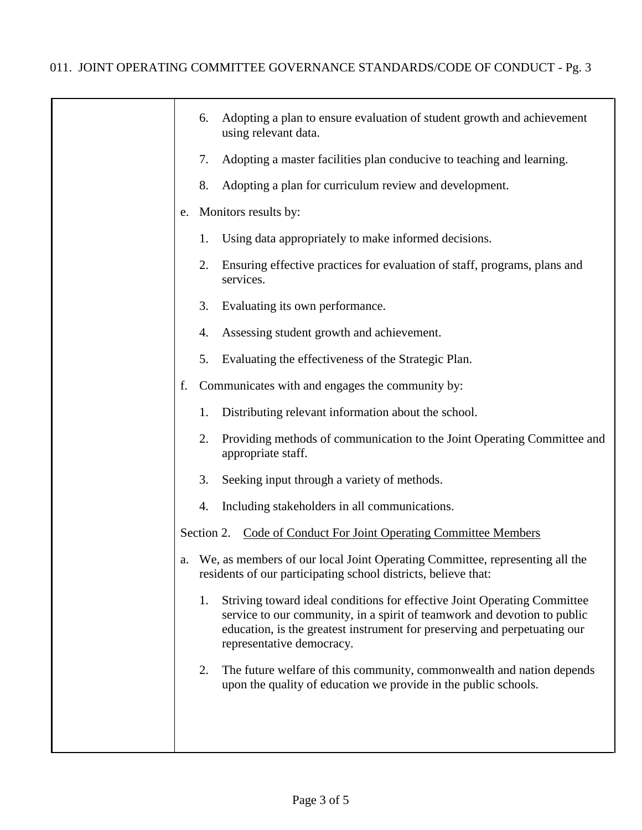|    | 6. | Adopting a plan to ensure evaluation of student growth and achievement<br>using relevant data.                                                                                                                                                                 |
|----|----|----------------------------------------------------------------------------------------------------------------------------------------------------------------------------------------------------------------------------------------------------------------|
|    | 7. | Adopting a master facilities plan conducive to teaching and learning.                                                                                                                                                                                          |
|    | 8. | Adopting a plan for curriculum review and development.                                                                                                                                                                                                         |
| e. |    | Monitors results by:                                                                                                                                                                                                                                           |
|    | 1. | Using data appropriately to make informed decisions.                                                                                                                                                                                                           |
|    | 2. | Ensuring effective practices for evaluation of staff, programs, plans and<br>services.                                                                                                                                                                         |
|    | 3. | Evaluating its own performance.                                                                                                                                                                                                                                |
|    | 4. | Assessing student growth and achievement.                                                                                                                                                                                                                      |
|    | 5. | Evaluating the effectiveness of the Strategic Plan.                                                                                                                                                                                                            |
| f. |    | Communicates with and engages the community by:                                                                                                                                                                                                                |
|    | 1. | Distributing relevant information about the school.                                                                                                                                                                                                            |
|    | 2. | Providing methods of communication to the Joint Operating Committee and<br>appropriate staff.                                                                                                                                                                  |
|    | 3. | Seeking input through a variety of methods.                                                                                                                                                                                                                    |
|    | 4. | Including stakeholders in all communications.                                                                                                                                                                                                                  |
|    |    | Section 2. Code of Conduct For Joint Operating Committee Members                                                                                                                                                                                               |
|    |    | We, as members of our local Joint Operating Committee, representing all the<br>residents of our participating school districts, believe that:                                                                                                                  |
|    | 1. | Striving toward ideal conditions for effective Joint Operating Committee<br>service to our community, in a spirit of teamwork and devotion to public<br>education, is the greatest instrument for preserving and perpetuating our<br>representative democracy. |
|    | 2. | The future welfare of this community, commonwealth and nation depends<br>upon the quality of education we provide in the public schools.                                                                                                                       |
|    |    |                                                                                                                                                                                                                                                                |
|    |    |                                                                                                                                                                                                                                                                |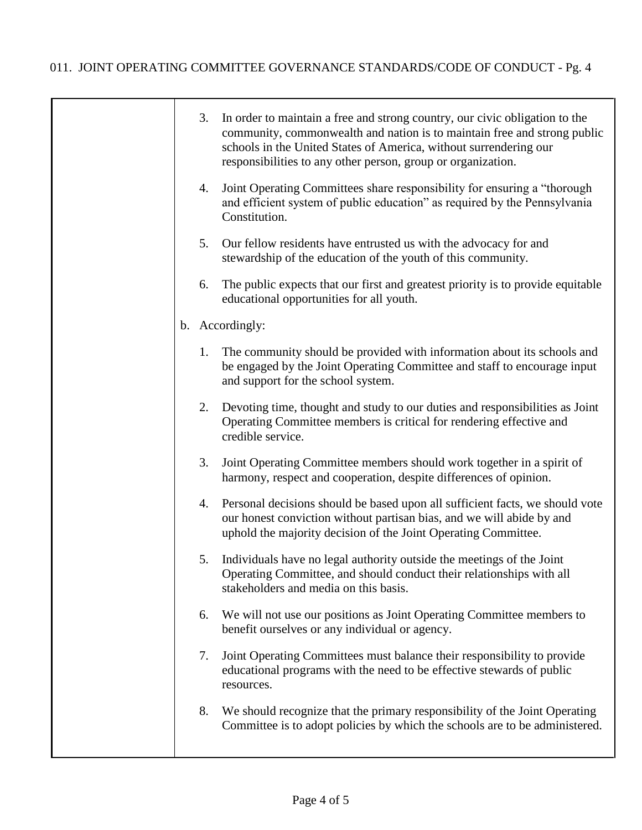┯

|  | 3. | In order to maintain a free and strong country, our civic obligation to the<br>community, commonwealth and nation is to maintain free and strong public<br>schools in the United States of America, without surrendering our<br>responsibilities to any other person, group or organization. |
|--|----|----------------------------------------------------------------------------------------------------------------------------------------------------------------------------------------------------------------------------------------------------------------------------------------------|
|  | 4. | Joint Operating Committees share responsibility for ensuring a "thorough<br>and efficient system of public education" as required by the Pennsylvania<br>Constitution.                                                                                                                       |
|  | 5. | Our fellow residents have entrusted us with the advocacy for and<br>stewardship of the education of the youth of this community.                                                                                                                                                             |
|  | 6. | The public expects that our first and greatest priority is to provide equitable<br>educational opportunities for all youth.                                                                                                                                                                  |
|  |    | b. Accordingly:                                                                                                                                                                                                                                                                              |
|  | 1. | The community should be provided with information about its schools and<br>be engaged by the Joint Operating Committee and staff to encourage input<br>and support for the school system.                                                                                                    |
|  | 2. | Devoting time, thought and study to our duties and responsibilities as Joint<br>Operating Committee members is critical for rendering effective and<br>credible service.                                                                                                                     |
|  | 3. | Joint Operating Committee members should work together in a spirit of<br>harmony, respect and cooperation, despite differences of opinion.                                                                                                                                                   |
|  | 4. | Personal decisions should be based upon all sufficient facts, we should vote<br>our honest conviction without partisan bias, and we will abide by and<br>uphold the majority decision of the Joint Operating Committee.                                                                      |
|  | 5. | Individuals have no legal authority outside the meetings of the Joint<br>Operating Committee, and should conduct their relationships with all<br>stakeholders and media on this basis.                                                                                                       |
|  | 6. | We will not use our positions as Joint Operating Committee members to<br>benefit ourselves or any individual or agency.                                                                                                                                                                      |
|  | 7. | Joint Operating Committees must balance their responsibility to provide<br>educational programs with the need to be effective stewards of public<br>resources.                                                                                                                               |
|  | 8. | We should recognize that the primary responsibility of the Joint Operating<br>Committee is to adopt policies by which the schools are to be administered.                                                                                                                                    |